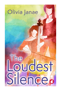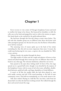## **Chapter 1**

KATE PAUSED IN THE LOBBY of Chicago's Symphony Center and tried to swallow the lump in her throat. She bounced her shoulders to shift the cello case on her back and popped her neck to relieve the tension yet again. Her hand shook as she reached for the gold-embossed door.

She had been through this first-day thing so many times before. The job with this chamber group was no different than those she'd done with other prestigious groups over the last few years, but the flutter of butterflies never left her stomach.

The annoying voice of reason spoke up in the back of her mind, reminding her that this job was more important than most. It meant she could stop freelancing for two years, a reprieve she was thankful for. Well, a year, anyway.

Taking a breath, she pushed through the doors.

The high warble of violins and the cough and splutter of horns as they teased and joked through their warm-ups were no different than what she heard at any other gig. The welcome familiarity calmed her raw nerves.

Kate paused at the open door, feeling small. In front of her, the stage spread out in a grand half circle, though it was dwarfed by the majesty of the Symphony Center, with its ocean of red velvet seats, tall pillars, doubledeck balconies, gold-leaf walls, and huge chandeliers of cloud diffusers.

It wasn't at all like the smaller halls she had often played in, ones with moldy curtains and old 1970s wood paneling, or the hall of some community center. This hall was intimidating, as it was surely meant to be.

Still, Kate smiled. Playing in a hall like this, less than a mile from her dream hall, was what she had been working toward. She walked through the door and started toward the stage.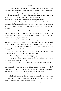The world of classical music posted auditions online, and once the job was won, photos and a bio of the new hire were posted as well. Perhaps for this reason, only a few people from the small group noticed her enter.

Kate didn't mind. She hated walking into a rehearsal space and being stared at as if she were a new zoo exhibit. It reminded her of all the first days she had been through at new schools while growing up.

She pushed back the painful memory and climbed the side stairs to the stage. On the far side stood several men and women dressed in professional suits and dresses. Their lofty expressions made it clear that they were board members.

She hesitated. The train had made her later than she'd wanted to be, and she needed time to warm up. But she also wanted to make a good first impression on the board, especially since she didn't have a benefactor, unlike a lot of Chicago freelancers.

She ran the fingers of her free hand through her hair to tame the windblown blonde curls, wishing she had stopped in the bathroom to brush them, and approached the group with a confidence she didn't really feel.

"Hi." She smiled and offered her hand to the nearest board member. "Katelyn Flynn, new cellist."

"Oh, of course. Zachary King, vice chair of the WCCE board." He shook her hand. "I take it your relocation went well."

"It did. Thank you," she said, smiling politely.

"Good, good." Zachary patted her arm. "Be sure to introduce yourself to the president when you see her."

"Will do." She shook a few more hands, then nodded at the rest. That done, she turned to scan the faces of her fellow musicians, but the face she was looking for wasn't among them. If he didn't get here soon, he wouldn't have any warm-up time. And why did he have to be late on her first day? She wanted to get their reunion over with as soon as possible.

Kate gritted her teeth against the new flutters in her stomach.

She had made her choice. She had taken the job in Chicago despite him being in residence. And it was going to be good, she promised herself yet again. They were both adults. It would be fine.

Despite her pep talk, another lump had formed in her throat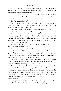Pointedly ignoring it, she found her seat and shifted the thirty-pound weight off her back. Stretching her neck and shoulders, she pulled out her cello and bow and began warming up.

The still-empty seats gradually filled. Musicians pulled out their instruments and tuned up, then played scales, warming their muscles like athletes before a game.

"Hi! You must be Katelyn."

Kate looked up from her cello at the small woman who had appeared in front of her. "Kate." She forced a professional smile and stood to offer her hand, her cello balanced in the other.

"I'm Mary. We spoke on the phone. It's nice to meet you, Kate."

Kate nodded in recognition. Mary was the personnel manager and artistic director and a violinist. She didn't look like Kate had expected.

Even compared to Kate's own five-foot-four frame, Mary seemed small. Her black hair was styled in a pixie cut. She had the soft yet stony disposition of a schoolteacher—sweet, but with the don't-mess-with-me attitude not far under the surface.

"Are you comfortable getting started right away?" Mary asked. "If you want a rehearsal to sit back and—"

"No, no." Kate waved her hand. "Just throw me in."

"Sink or swim, huh? I like that." Mary smiled and turned to the small group, clapping her hands. "All right, let's get going." After making a few announcements, she added, "As you all can see, our new cellist made it. Kate Flynn, welcome! We're excited to have you!"

Kate looked around to acknowledge the introduction. From the bass section, she caught sight of the lone bass player's familiar brown eyes. Stephen had finally shown up. She nodded to him.

He winked at her and rolled his eyes toward Mary, then the ceiling. The charm that had been so boyish years ago still radiated from him.

Mary continued going over plans for the upcoming season and the first concert. "As you can see from the list here"—she held out a sheet of paper—"we're focusing first on the strings with *Eine kleine Nachtmusik*. It's such a beautiful piece and one we rarely play together. I'm particularly excited because…"

As Mary's remarks continued, Kate's enthusiasm began to wane. *Eine kleine Nachtmusik* was a familiar piece. She had begun playing it at thirteen.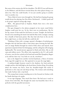But some of the tension also left her shoulders. The WCCE was well-known in the Midwest, and she'd been worried about the other players being a cut above her. Now she could breathe. It was just another group in another state in another city.

Then a flash of worry went through her. She had been hoping the group would elevate her playing, but *Eine kleine Nachtmusik… It didn't speak well to the group's supposed cutting-edge image.*

Well… She glanced back at Stephen. Maybe there were a few more complications here.

Her gaze dropped to her phone propped on her music stand before Stephen could meet her eye. So far, there were no notifications. She bit her lip, unsure if that made her feel better or worse. Tonight, she had been forced to do something she hated: she had left Max with a stranger, earning her a bundle of bad-mom points. But they had only been in the city for forty-eight hours, so what the hell else could she do?

Thinking of Max with a stranger opened a floodgate of melodramatic thoughts that she had been able to shut down upon entering the hall. But now an image flashed through her mind of Max alone and injured, their apartment emptied of their few belongings, and the ceiling fan still swinging haphazardly. The mental picture appeared in black-and-white, like an old cops-and-robbers movie. The officer who responded to the 911 call would, of course, wear his hat cocked on his head and sound like Humphrey Bogart as he told her there was "very little we can do, sweetheart."

Just as she slipped into another worried daydream, a flurry of motion from stage left caught her eye. She squinted to see past the stage lights.

A medium-height brunette stood in the shadows, her back perfectly straight and her chin held high as she faced down Zachary King. Everything about the woman was fierce, from her shoulder-length bob styled to perfection to the crisp suit and deep-red lips. The woman said something that made Zachary take a step back.

The young Asian woman standing next to her focused on Zachary with her hands dancing as he spoke.

It was sign language. That much Kate knew. She had seen it used on *Sesame Street* with Max. She thought the name was beautiful, that it fit so perfectly with the graceful movements.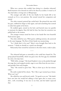What was a person who couldn't hear doing in a chamber rehearsal? Both brunettes were dressed too well to be there by accident. It wasn't as if they had taken a wrong turn at Albuquerque.

The younger and taller of the two finally let her hands fall to her stomach as if in a rest position. She turned toward her companion and waited

The other woman's painted lips curled back. She pinned the man with her gaze, stabbed her finger at him again, and said something that seemed to make him quake in his boots.

He nodded again, turned on his heel, and hurried away too quickly to maintain his dignity. Kate felt bad for him, but then her attention was pulled back to the women.

The younger woman raised her brow as her hands flew into beautiful fluid motion again.

The other rolled her eyes. With quick, stabbing motions, she answered in the same language. The flow of their hands was mesmerizing.

"So, I think that's it for now!" Mary's voice brought Kate back to the moment. "I think we should try a quick run-through."

Reluctantly, Kate turned her attention to the sheet music, ready to play.

\* \* \*

The rehearsal had gone as smoothly as she could have hoped for. The group played beautifully, which was great since the first gig was scheduled for only a few days later.

"Well, hello, stranger." She heard Stephen's voice as she pushed through the stage door and stepped outside, eager to save Max from the new sitter and possible Noir-style burglar.

"Hey." She turned to greet him. "Way to show up at the last minute today."

His smile exuded all his charm. "Eh, I like to get warmed up at home. What can I say?"

She rolled her eyes and forced a smile. "It's good to see you." She hadn't been sure how she would feel talking to him again after so many years, after…well, everything. It was nice to see him, and she hadn't expected that.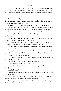"Right back at you, lady." Stephen gave her a slow smile that quickly split into a grin. He held out his arms for a hug. She went to him, far too aware of him to feel comfortable. They ended the embrace quickly, chuckling awkwardly.

"You seem nervous, Flynn."

Kate debated briefly about how honest to be. "It's not exactly nerves. It's more that if there are any mistakes, then it's all me. There's no one else to blame when you're the only cello."

A part of her still wasn't sure if she was supposed to be there. She had won the job, yeah, but had they really meant to pick her instead of some other thin blonde with a cleft chin and a small scar under her left eye?

It wasn't a new feeling either. Kate had never felt as if she fit anywhere. After as many foster families as she had been through, it was impossible not to feel that way.

"We all make mistakes. No one will judge you for them. At least not today," he added, nudging her with his elbow.

Kate snorted and suddenly remembered what it had been like that summer at Tanglewood, sitting in a cabin, sharing a bottle.

She shoved the nostalgic memory back down. "Talk about making the new girl feel welcome!"

His laugh was full-bellied and loud. "Hey, now, don't mistake me for the welcome committee. That's not a roller-coaster I wanna ride."

"You did all right at Tanglewood."

"Yeah, well, I didn't think handing you a shot as soon as you walked in was a good idea tonight."

She laughed. "I don't think I've had one since then."

"How's the apartment? Does it suit you?"

She nodded. The apartment was also something she didn't want to get into just then.

"And little Max?"

Startled that he had asked, she looked into his eyes. Of course he would, but somehow…

"Yeah. Yeah, no." She shoved her hands into her pockets, suddenly feeling smothered. "He's good. Growing like a weed."

"Good, good." Stephen shifted his feet. "Well, it was good to see you. Let's get a drink soon."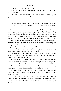#### The Loudest Silence

"Yeah, yeah." She shivered in the night air.

"Well, uh, you sounded great in there tonight. Seriously." He turned and walked away.

Kate headed down the sidewalk toward the L station. That meeting had gone better than she expected. God, she was glad it was over.

\* \* \*

Kate hopped on the train, her teeth chattering in the cool air. If she was this cold now, how would she handle the snow next winter? She badly needed a new coat.

The commute to her apartment in East Rogers Park was fifty minutes assuming there were no delays. It was long enough for her to lose the feeling in her toes thanks to the poor L car heating. She watched as the train passed the downtown skyscrapers, the lights in the tall buildings twinkling brighter than any stars. She had missed living in a big city. It was nice to be in one again. Who knew where the next job would be? She and Max could next end up in a tiny town in Alaska or even Timbuktu. Everything had an expiration date: jobs, homes, dates, relationships. Even the car she had bought for herself when she was young had finally been retired. It was day one of the job. She shouldn't already be thinking about what was coming next, but it was inevitable. A year went by quickly.

The skyscrapers finally gave way to brick apartment buildings. The outside lights went from bright, warm, and welcoming to dim as the train traveled toward her neighborhood.

She pushed herself deeper into her seat as the train commuters changed from young business professionals to sus-looking teenagers wearing bulky jackets and pants hanging down so low, it was a wonder they didn't fall off.

She made it back to her apartment. "Hello?" she called out softly, picking her way in the dark around boxes littered everywhere.

"Hi, Mrs. Flynn." Stacey appeared from Max's room as Kate rounded the corner into the hallway. The night-light cast an eerie shadow over the babysitter's face.

Max, half-asleep, was draped over Stacey's shoulder. He pulled his thumb from his mouth with a whine and reached for his mother. His halfclosed eyes, red-rimmed and swollen, peeked out from under his flop of dark hair.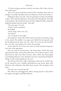"I've been trying to put him to bed for two hours, Mrs. Flynn, but he's been really upset."

"Kate. Let's just go with Kate instead of Mrs. Anything. And, yeah, it's all right. It's usually a problem with a new babysitter. Don't worry about it."

Holding her three-year-old—who was getting far too big to be held like a baby—Kate paid the babysitter and maneuvered through the dim light to his bedroom. She laid him back on his bed, rubbed his belly, and gently pulled his thumb from his mouth. "Hey, kid."

"You were gone," he said.

"I had to work, remember?"

He nodded.

"You're sleepy. Close your eyes."

"You home?"

"Yes. I'm home for the night."

Hearing Kate's words, Max rolled onto his stomach, his thumb moving to his mouth. She pulled it out again and rubbed his back gently until his breathing became deep and even. Then she stood up and stretched. He—no, they—were going to be tired in the morning.

As she made her way to her own room, her shins seemed to bang into every box in the apartment.

Kate was tired of moving boxes. She hated them—hated what they represented for Max. At least they didn't have a lot of them anymore. They had moved six times since Max was born. After a while, they had stopped accumulating whatever wasn't absolutely necessary, measuring all things by asking, "Is this worth packing into the car?"

She fell into bed with a sigh. Unpacking could wait for another day. As she closed her eyes, a familiar dissatisfaction crept up her spine: Max had been with a babysitter. She didn't know anyone. She was going to bed alone.

God, she was so tired of this life.

She rolled over and hugged the pillow, forcing herself to sleep before the negative thoughts could fully blossom.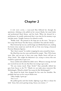## **Chapter 2**

A few days later, a teary-eyed Max followed her through the apartment, whining as she pulled on her concert blacks, her usual slacks and professional black blouse, and her heels. When she dressed for a performance, he usually understood that it was time for his mommy to go and play music. Tonight, however, he refused to settle.

"Buddy, look." She pointed at the large pot on the stove. "You get to have soup with Stacey! You like Stacey, remember? You said she's funny."

Max's bottom lip was out, and his huge eyes blinked back tears, making his brown irises stand out until she felt as if she were facing a bereaved Precious Moments figurine.

"But I don't wanna!" he wailed, wrapping his arms around her knees.

She lifted him into her arms and kissed his temple. "Hey, I'll be home soon, Max, and you get to have your soup. Maybe Stacey will put on *Ninja Turtles*." She caught the babysitter's eye, trying to convey that *now* would be a good time to put it on.

Stacey smiled and nodded but didn't move. Whatever message she had just received was not the one that Kate was trying to get across.

"Do you wanna watch *Ninja Turtles*?" Kate pointedly shifted her gaze from Stacey to the TV. "Maybe we can make pizza tomorrow like Michelangelo. Whatd'ya think? You wanna be like Michelangelo?"

Max shook his head, then dropped his face onto her shoulder. She probably had snot on her concert blacks now.

"Okay, buddy, I gotta go."

"No-o-o-o!"

She pulled gently and then harder, fighting to get Max to release his hold. "Jesus, kid, you're getting strong. Stacey, you wanna—?"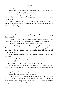"Right! Sorry."

Stacey pulled him from behind as Kate extracted his arms. Finally, she was loose. She scrambled to pick up her things.

"I love you." Kate pushed the mop of hair off his forehead to plant another kiss. She held back the *I'm sorry* that she wanted to say and dashed out the door.

Stomach churning, she hurried down the hall and down the stairs, trying to ignore his screams. With each step, the same thought repeated: *I hate this.* She replayed his flushed, tear-stained face over and over in her mind.

\* \* \*

Kate entered the building through the stage door, her cello case hanging from her back.

The WCCE gig was a small one, a fundraiser for a local arts high school. The music was easy, but her fingers twitched, her stomach rock hard.

"Hey, Flynn." Stephen met her at the door. "You okay?"

"What? Oh." She popped her neck, still hearing Max's screams. "Yeah. Max just, uh… He doesn't like it when I leave in the evenings. He really cries and—" She noticed the vacant look on his face. "Uh, never mind. Yeah, I'm good."

Stephen cleared his throat. "You look a little unsteady on your feet. Are you ready?"

"Are you kidding?" Kate swung the case off her back and set it down. "I was born ready."

If he heard the wobble in her voice, he didn't mention it.

"Don't be worried." William, one of the violinists, grinned at her. "This is fun, right? And you only have two pieces today. The others are mostly brass."

"Right." Kate rubbed her moist palms on her slacks.

"You got this. Don't stress." Stephen grinned.

The small group had already assembled on the stage, leaving little time for Kate's nerves to ramp up. She had no sooner set up her instrument than someone announced the piece they were about to play. The room hushed, the eyes of the audience on the players.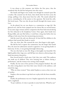It was always at this moment, just before the first piece, that she wondered why the hell she had gotten into this career.

Her hands and fingers were steady even though her stomach spun like a washer. She counted out the beats, then slowly drew her bow across the strings, pulling a low, deep moan from her cello. The sound calmed her nerves, reminding her of the answer to her question. She loved the cello. She loved music. That was why she put herself through this insane career. Love.

As she played, her eye was drawn to a commotion at stage left. She glanced over, and her heart jumped into her throat like an excited bunny. It was same angry woman and her companion that Kate had noticed during her first rehearsal at the Symphony Center. Once again, their hands were flying wildly, and, just like before, it took Kate a long time before she was willing to look away from the mesmerizing movements.

And she wasn't the only one distracted. At least half the children in the audience had turned their heads to watch.

*One, two, three, four.* She counted the rests, then began to play again.

She did her best to ignore the commotion, but the longer their hands flew, the more her admiration turned to agitation. It was getting harder to look away. In fact, it was getting downright distracting.

The one who had cut into Mr. King so thoroughly was beautiful. Her lightly golden skin, large eyes, and full lips were almost as distracting as the hand movements themselves.

Kate forced herself to look away. God, they were rude! This audience was made up of children! They were learning how to behave during a performance, and the women were setting a bad example.

Finally, the last note of her portion of the program finished. She and the other string players rose from their seats, bowed to the audience, and exited the stage.

"Who are those women?" Kate asked Stephen as soon as they were out of earshot.

Stephen, who was about to go back out to play with the brass ensemble, shrugged.

Finally, the performance was over. Stephen appeared as she was chatting with a stagehand.

"As per tradition, it's time to partake in some bad wine. Whatd'ya say?"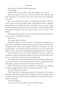Kate turned at Stephen's sudden appearance.

"You all right?"

"What? Yeah, of course. Wine, yeah, okay. Just give me a minute."

She *had* to speak to those two women, tell them how rude they had been. She had to say *something.* If she were in their shoes, she would want to be told.

Jaw set, she started toward them, remembering the look on the face of the woman who had metaphorically crushed King beneath a designer pump. Perhaps she should have been intimidated, but she wasn't; angry people with authority did not bother her as much as they probably should. She worked through her speech, trying to find a way to say the words politely.

She approached the woman, who was now staring intently at her phone screen, unaware of anything around her.

"Excuse me."

The woman did not look up.

Had Kate really just tried to *speak* to a deaf person? Feeling like an utter genius, she lightly touched the woman's hand. The woman looked up and gazed at her intently. Kate blinked, disoriented. She hadn't seen her up close before, so she hadn't noticed the intensity of her eyes or their rich shade of brown. They were surprisingly beautiful despite their remoteness.

Kate realized that she was staring and blinked. Forcing a smile, she opened her mouth to speak, then stopped. Her face heated. She had no idea how to communicate with someone who couldn't hear.

The stranger forced a smile that said she dealt with this kind of ignorance every day. She drew a circle around her mouth with two fingers and stared at Kate's lips, giving the impression that she could lipread.

"Okay." She pointed to herself. Should she enunciate more? Shaping her lips in exaggerated movements, she introduced herself. "Kate."

"Don't do that with your lips."

"Oh." Kate felt her cheeks go warm and her eyes go wide. The woman had *spoken*. Kate hadn't expected that. Though now that she thought about it, hadn't she seen her speak to King? She hoped she had wiped the surprise off her face quickly.

"Vivian Kensington."

"So, um, I'm the new performer with the WCCE and—"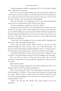Vivian Kensington nodded, cutting Kate off. "Yes, the cellist. Katelyn Flynn. Welcome to the group."

Her voice was a bit unusual. While the pitch was perfectly ordinary, if a little deep, it mostly sounded as if she had a bad head cold and made her tone nasal and constricted. Each word seemed to flow just a bit into the next, but otherwise, she was perfectly understandable.

The way she spoke was intriguing. And the way Vivian Kensington stared at her was disconcerting. Kate felt her heart flutter.

"Is there something I can help you with, Ms. Flynn?"

Kate paused, then frowned as she remembered that she had come over because she was angry. *Damn it!* She shifted, her irritation returning. How was it that Ms. Kensington seemed annoyed with her? She had assumed that Zachary King had transgressed in some way, but maybe this woman was just rude. "Uh, right. I just wanted to say that you were really distracting during the performance."

"Excuse me?" Ms. Kensington's voice was cold and flat, dripping with aristocratic venom through the distortion.

"Sorry. That was kind of blunt. What I meant to say was, you were talking through the entire concert, and it was really distracting." The pressure of the woman's glare made Kate shift her stance. "It wasn't just me. The other players were distracted too. And so were the kids. So I thought…"

A pained look flashed across the woman's face before indignation rose to mask it. Her hands began moving in the alien language, fast and quick.

Kate was about to point out that she had no idea what the hand movements meant when a voice from behind supplied her with the answer. "I'm deaf."

Kate looked around.

The woman's younger companion stood with a drink in her hand. "Hi. Charlie Hseih. I'm Ms. Kensington's interpreter."

Kate returned the smile, but Vivian Kensington was having none of their pleasantries. "Tell this—" She scowled, then paused as if reconsidering her words. "Tell *Ms. Flynn*," Charlie read as the woman's hands flew, "that I am deaf, and sign language is my main means of communication. Oh…" Charlie blushed. "Um—"

"Yeah, I got the gist, Ms. Hseih," Kate said, turning to face the interpreter.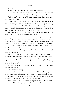"Charlie."

"Charlie. Look, I understand that she's deaf, obviously—"

Charlie opened her mouth to speak, but Vivian snapped her small, manicured fingers in front of Kate's face, drawing her attention back.

"Talk to her," Charlie said. "Pretend I'm not here. Geez, she's really mad. What did you say?"

"I was trying to tell her that, with all due respect, she was drawing attention during the concert." She turned back to Ms. Kensington, refusing to allow her glare to shake her. "Your hands were going during the concert, and it was really distracting to everyone. All of the children were watching you, Ms. Kensington, and not listening to the music."

"And I told you that I am deaf and this is how I communicate!" Charlie read. "What is so hard to understand about that?"

Kate bristled. The woman seemed to be deliberately misconstruing her words. "I get that, but we're here teaching children how to behave in a performance setting, right? So, isn't it rude for *anyone* to talk during a performance, whether it's with their voices or with their hands? I'm just—"

The woman's hands burst into motion so quickly that Kate wasn't sure how Charlie could follow them.

Kate took an involuntary step back as the woman's hands moved, slapping into each other.

"Are we also not meant to teach these children about tolerance and acceptance of those who are different? I apologize"—her face made it clear she was not sorry at all— "if my language was distracting to you, but allowances must be made, just as handicap rails are available on buildings to allow all to enter."

Kate winced. She felt as if she were standing in front of a firing squad. She glanced around.

Yes, people were staring.

"Let us only hope," the woman continued disdainfully, bending a little as her hands bounced sharply, "that people with attitudes such as yours do not spend too much time with these children and that your archaic intolerance will not be passed on to the next generation."

It took Kate a second to recover enough to respond. "Whoa, wait a minute, lady! I wasn't singling you out because you're deaf. I was making a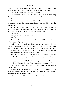comment about *anyone* talking during a performance! I have a son, and I wouldn't want him to think what you were doing was okay, so I—"

The woman pushed past her. Charlie followed.

"Oh, come on! I meant I wouldn't want him to see someone talking during a performance!" she snapped at the back of the woman's head.

*What the hell?*

Why had she automatically accused her of discriminating against her because she was deaf? She most certainly had not said that. Why would she even think it?

She considered chasing after her to make sure the woman knew exactly what she'd meant, but before she could react, Stephen stepped in front of her, a cup of wine in his hand. "So, I'm gonna step in here."

Kate snarled.

"I see you met our resident ice queen."

"What?"

He jerked his head toward the retreating back of Vivian Kensington. "Were you two fighting?"

"Yeah, I guess so. I don't know. She was speaking sign language through the entire performance, and it was really freaking distracting. You didn't notice?" She took a sip of the cheap wine, grimacing at the vinegary taste.

Stephen laughed. "Oh, of course I noticed. No one would have the guts to say something to her, though, so *brava* to that."

"Why? Because she's deaf? Does that mean she gets to be as rude as she likes and it should just be ignored?" She knew her anger was making her act out unprofessionally.

From across the room, Ms. Kensington caught her eye and glared.

"Well, no." Stephen shrugged. "But considering her position…"

Kate grabbed his arm. "Oh God, please don't tell me she's someone I should know."

Stephen clinked his plastic cup against hers. "I'm sorry to say it, but good job, gorgeous. You haven't even been here a week, and you've already pissed off the president of the board."

Kate looked down at her empty cup. "Of course I did."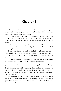### **Chapter 3**

"MAX, HURRY! WE'RE GOING TO be late!" Kate picked up the bag that held her cell phone, sunglasses, and the snack she knew Max would want before they even got to the train. "Max!"

He ripped from his room, his ears sticking out from under his baseball cap. His cheeks spread out in a wide grin, making them look as chubby as a chipmunk's. Slamming into her legs, he nearly knocked her over. "For the music?"

"Yes!" she answered. "Let's go!" She leaned down and kissed his cheek.

He squared his cap on his head and pulled her toward the door. "Let's go! Let's go!"

Kate resisted the urge to laugh at the little twig legs sticking out of his shorts, but he gave her arm another tug, and with a promise to herself to stop for coffee, they were off to the Mommy & Me music day with the WCCE.

The last two weeks had been uneventful. Max had been looking forward to their first social event for days. He genuinely loved music.

The community center where the event was being held was large, and Kate was reminded of a happy period during her childhood. It smelled like Play-Doh, apple juice with a side of graham crackers, and construction paper. And it was *loud.* Children of all ages were yelling, laughing, screaming, all of them excited for the afternoon of noisemaking that they had been promised.

Max wasn't shy, but he also hadn't been exposed to many kids his own age, thanks to their constant moving, something Kate felt a never-ending guilt about. Overwhelmed by all the other children, Max pulled on Kate's arm in a silent demand to be picked up.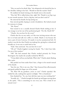"Hey, no need to be afraid, Max," she whispered as he buried his face in her shoulder, hiding in her hair. "Should we find the teacher? Yeah?"

He nodded, his hand twisting as his thumb went to his mouth.

"Hey, kid. We've talked about that, right? Mr. Thumb is too big to go in your mouth anymore. You're a big boy, and you don't need it!"

He removed his thumb, his lip jutting out.

Kate moved quickly, hoping to avoid a breakdown. She looked around for someone in charge.

"Ms. Flynn?"

Kate turned to see a casually dressed Charlie Hseih smiling at her. It was strange to see her out of her professional garb. "Uh, Ms. Hseih! Hi!"

"Charlie. Are you here for the event?"

Charlie shot her an easy smile, as if she were inviting anyone who met her to sit back and talk over coffee or a drink. Maybe it was because she wore a pair of worn Converse. Or maybe it was her asymmetrical bob. Or maybe it was the fact that Charlie was makeup free, giving her a relaxed and friendly air. It was easy to smile back at her.

"Yeah," Kate answered. "Are you here for it too?"

"Oh no!" Charlie laughed, waving her hands. "No, I don't have kids. I'm one of the teachers."

"Oh!" She had assumed that Charlie worked privately for Vivian Kensington, but maybe she actually worked for WCCE.

"Vivian didn't tell me you had kids. Who's this?" Charlie asked, flashing Max a grin.

Max peeked out from under Kate's hair, a finger in his mouth instead of his thumb.

"Just the one. This is my son, Max." Kate bounced him affectionately and gently pulled his finger out of his mouth.

"Hi, Max! Oh my goodness, you're so cute!" Charlie squealed. She tickled his side, making him squirm in delight. "He's so handsome."

Kate thanked her. "So, um, how did they rope you into working this?"

"Actually, uh…" Charlie brought her hands up and began moving them as she spoke. "This is something we run every year. This is kind of *our* annual event."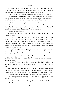Kate looked at the sign language in panic. "No! You're kidding! Shit. Wait, don't tell her I said that." She slapped down Charlie's hands. Then she felt the air on her back getting colder. Or had she imagined that?

Kate turned to find herself face-to-face with the ice queen. *Oh crap.*

She had dreaded meeting her again. Part of her was convinced that she was going to be fired for having insulted the board president. She hadn't meant to do that. She shouldn't have approached her in the first place. She blamed first-day performance jitters. She told herself it was because she had wanted to make her aware of how distracting she had been, but now, weeks later, she admitted that she had been offended by their rudeness. She hadn't exactly overreacted, but she also hadn't *not* overreacted.

She needed to apologize.

Kate opened her mouth, but the only thing that came out was an awkward "Ah…"

"It's true," Ms. Kensington said with a voice as tight as Kate's back muscles. "We both have a strong passion for children as well as a desire for community outreach." She nodded slightly at Kate and began signing as Charlie translated. "Ms. Flynn, it's very nice to see you." Her words were polite, but her eyes were cold, her chin sharply jutted, her lips a thin line. "Have you signed in yet?"

"Not yet." Kate flinched as the sign-in clipboard was slapped into her hands. Okay, she probably deserved that. She filled it out quickly and handed it to Charlie.

Ms. Kensington looked away from Kate and turned her attention to Max. "And this must be Maxwell." She addressed him in her slightly distorted voice.

"Um, yeah." Kate hooked her thumbs into her back pockets and wondered how the hell this woman knew the name of her son. His *full*  name.

Ms. Kensington beamed at him but didn't touch him—something Kate appreciated since most people felt compelled to tousle his hair or pinch his cheek. Instead, she leaned over slightly so that she was level with his face.

At the attention of a new person, he buried himself in Kate's hair.

Ms. Kensington smiled brightly, causing a dimple to appear. "Hi, Max. I'm Vivian."

He peeked out. "Your voice is funny. Are you sick?" He reached out to touch her throat.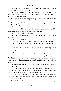Kate felt her face flush. Great. Now Ms. Kensington was going to think that both she *and* her son were jerks.

But to Kate's surprise, Ms. Kensington smiled warmly, staying at his eye level. "No, I'm not sick. My voice sounds different because I'm deaf. Do you know what that means?"

He shook his head and struggled to get down. Kate set him on the ground.

Ms. Kensington kneeled in front of him, not seeming to mind that he stared at her in rapt attention.

"What's death?"

Charlie snorted. Ms. Kensington glanced at her, then laughed too. "No, little prince, *deaf*, not *death.* It means that I can't hear."

"Nothing?" he asked, his eyes wide.

"Nope. Nothing. My ears don't work like yours do." She tugged gently on his earlobe.

Perplexed, Max reached up.

Ms. Kensington leaned in closer, allowing him to look into her ear.

"Max…" Kate didn't know what he had in mind, but she knew her son and—

Max leaned in and screamed as loudly as he could right into Ms. Kensington's ear.

Everyone in the room froze. Everyone except Ms. Kensington.

"Oh my God, Max!" Kate snatched him away and held him against her legs. She was screwed with this woman. There was no hope for an apology. She should just give up now and pick up the want ads on the way home. If she was lucky, she could find a night shift at a McDonald's on the South Side.

Then Ms. Kensington laughed. To Kate's utter bafflement, she *laughed.* "Nope, nothing."

"Wow!" Max had the same look on his face as when they had built and set off bottle rockets. "What are you doing with your hands?" He held one tightly to study it, as if willing it to reveal its magic.

"It's called sign language. That's how Deaf people like me speak. We sign. See?" She signed a few words and Charlie interpreted. "It's nice to meet you, Max. I like your hat."

Max asked several more questions before he fell silent, seemingly satisfied.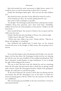Kate had watched the entire interaction in slight horror, unsure if it would be worse to stop his questioning or allow him to continue.

Finally, Ms. Kensington spoke again. "Have you met the other children yet?"

Max shook his head, and when Vivian offered her hand, he took it.

Vivian looked up at Kate, the warmth melting from her eyes.

Kate tried to look as apologetic as possible.

"It's all right." Ms. Kensington spoke before Kate could open her mouth. "Children always have questions, and I don't mind them. Thankfully, children do not have the same prejudices as their parents. *Children* can still learn better."

Kate's mouth fell open. She turned to Charlie as the ice queen took her child across the room.

Charlie whistled and said something in Chinese, her eyebrows high.

"I didn't mean it like that!" Kate wailed.

"Tell her that, then. Make it up to her," Charlie told her. "Take her to dinner and apologize or something."

Kate swallowed and nodded back. It made sense, yet her stomach twisted with nerves at the thought. It didn't matter. She was going to do it anyway.

\* \* \*

Every time Kate began to have fun playing with the kids, every time she began to let her hair down, Ms. Kensington would catch her eye, burning her with her stare, her nose wrinkled as if she smelled something bad. Then Kate's enjoyment would dissipate in angry humiliation. It was as though the sight of Kate disgusted the woman.

This was so bad. She had to get this behind her and say something before she left today. She knew better than to think that an apology would make it better; clearly Ms. Kensington hated her. Maybe if she apologized, though, she could move on and feel less guilty.

At the end of rehearsal, she turned to where Max was playing with his new friends. She felt Ms. Kensington's eyes on her back—or maybe her mind was playing games with her. Either way, the sensation was like nails on a chalkboard.

Max was bouncing uncontrollably as the class wound down. At least he had enjoyed himself.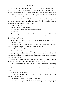#### The Loudest Silence

Across the room, Kate looked again at the perfectly presented woman. Part of her intimidation, Kate decided, was how pretty she was. On top of that, the tailored slacks, tight black blouse, and tall heels gave her a too-put-together professional air that told anyone who dressed casually that they needed to stay ten feet away.

As if she knew Kate was thinking about her, Ms. Kensington glanced at her, looked away, then glanced at her again. She all but rolled her eyes before she looked away the second time.

It was now or never.

"Do we hafta go?" Max whined.

"It's over, kid. That means it's time to go home."

"Don't wanna."

"Max, sit right here for a minute, okay? Stay put. I mean it." She eyed him. He could be a loose cannon when he wanted to be. "So, what are you doing?" she confirmed.

He sat down with a sigh, swinging his dangling legs. "Not getting up." "Good job, buddy."

Kate approached the woman from behind and tapped her shoulder. Ms. Kensington jumped and turned, a scowl on her face.

"So," Kate said, "can I help clean up?"

Ms. Kensington's mouth popped open, appearing ready to say something, but instead she flattened her hand on her stomach and rubbed it as if it pained her. With her face hard, she pointed to the toy instruments and a large plastic bin.

"Right." Kate placed them into the bin and pushed it into the corner with other bins. Ms. Kensington watched the entire time.

When Kate had finished, she returned to face her nemesis. "Anything else?"

Ms. Kensington shook her head and moved to turn away, but Kate caught her arm.

"Look, I want to apologize."

Ms. Kensington looked down at Kate's hand, then back up to meet her eyes with a scathing glare.

Kate dropped her hand and opened her mouth.

Before she could speak, Ms. Kensington held up a single finger, spun on her heel, and walked purposefully away.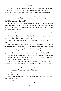Kate stared after her, flabbergasted. "What kind of an adult holds a grudge like this?" she shouted at the back of Ms. Kensington's head, her arms flailing. But of course Ms. Kensington neither saw nor heard her.

"Stomp on the floor!"

"What?" Kate swung around to see Charlie standing next to Max.

"Stomp on the floor! That's how you get a Deaf person's attention. She'll feel it through the wood."

Kate stomped twice on the floor, hard, and the retreating woman spun around as if she had been tapped on the shoulder. She walked back to face Kate, who quickly spoke before Ms. Kensington could leave again. "Give me two minutes. Please!"

Ms. Kensington folded her arms across her chest and lifted a single eyebrow.

"I'm sorry. I didn't mean what I said at the community center to sound the way it did. I didn't mean to insult you."

"What did you mean, then?" Ms. Kensington asked in her distorted voice.

"All I meant was that I thought we were trying to teach the children that all talking, all *communication*, whether with our mouths or our hands, can be distracting to the performers. I was talking about respecting the players and the music." Kate began to gesticulate wildly. "It wasn't about you being deaf. I'm not some evil person who's against Deaf people!"

Ms. Kensington's dark eyes narrowed, and Kate stuffed her hands into her back pockets. This wasn't working at all. Charlie's suggestion popped into her mind, and her teeth ground.

"Look, Ms. Kensington. Let me do *something* to apologize." Then, as if the words had a life of their own, she added, "Let me take you out to dinner."

Ms. Kensington continued to stare but still said nothing.

"Oh, come on, I'm not that terrible! This is silly."

"Dinner?"

Kate gulped. "Yes."

Ms. Kensington's face didn't relax as she considered. Then she dipped her head. "Next Friday."

"It's a date."

Ms. Kensington's eyes narrowed again. "Dinner."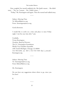#### The Loudest Silence

Kate coughed, her mouth suddenly dry. She hadn't meant… She didn't want… "No, no, I meant… No, I didn't mean…"

"Friday," Ms. Kensington said again. Then she turned and walked away.

\* \* \*

Subject: Meeting Time To: kflynn88@wcce.org From: vkensington@wcce.org

Good afternoon.

I would like to settle on a time and place to meet Friday night. I am free any time after 7 pm.

Cordially, Vivian Kensington *President, Board of Directors* The J.C. Kensington Foundation Windy City Chamber Ensemble 2381 South Michigan, Chicago, IL 60604 312-783-4230, ext. 825 | 312-733-7330 (fax) | www.JC-Kensington.org

\* \* \*

Subject: Meeting Time To: vkensington@wcce.org From: kflynn88@wcce.org

Ms. Kensington:

Do you have any suggestions about where to go, since you live here?

K

\* \* \*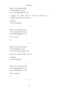Subject: Re: Meeting Time To: kflynn88@wcce.org From: vkensington@wcce.org

I suggest, Ms. Flynn, that you know the details of an engagement before you present it.

Cordially, Vivian Kensington

\* \* \*

Subject: Re: Meeting Time To: vkensington@wcce.org From: kflynn88@wcce.org

Let's say 8 pm.

K

\* \* \*

Subject: Re: Meeting Time To: kflynn88@wcce.org From: vkensington@wcce.org

And where, exactly, shall we meet?

Cordially, Vivian Kensington

\* \* \*

Subject: Re: Meeting Time To: vkensington@wcce.org From: kflynn88@wcce.org

I'll let you know.

K

\* \* \*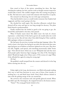Kate stood in front of the mirror, smoothing her dress. She kept checking her makeup, her hair, and her teeth as though constant inspection would make it better. She couldn't imagine what this evening was going to be like. She had never eaten a meal with someone who hated her so openly.

Her stomach was fluttering, but not with eager anticipation.

They had decided to meet at a small trendy restaurant that Stephen had suggested, and Kate wasn't going to be late.

She checked her outfit again. Her sleeveless silhouette cocktail dress showed off her arms and legs yet was long enough for decency. The plain black hinted at professionalism.

Finally satisfied that she looked as good as she was going to get, she kissed Max and headed to the door, then paused.

What if Charlie wasn't there? She didn't want—for lack of a better expression—a third wheel. If she had to grovel, she would rather do it with fewer eyes on her. But oh God, what if she *didn't* bring her? How could she fully apologize without an interpreter?

She had spent the previous evening watching sign language videos. She tried to learn a few basics but had given up when she discovered that some signs had gone out of fashion or had been updated over the years. Plus there was ASL, English, cued speech, and something mysteriously called "home sign." How did she know which one to use? Wikipedia had said that most Deaf people spoke American Sign Language, but what if Ms. Kensington didn't? Would she laugh at her if Kate used a 1970s version of a sign? What if she offended her again by using the wrong sign?

*Oh God.*

She grabbed a small notepad from the counter and shoved it in her bag before starting into the city.

\* \* \*

Friday night in the Loop, aka downtown, was filled with people making their way to and from functions in every state of dress, from tuxedos to nothing but a tie and black boxer briefs. Kate's black stilettos clacked in time with the pulsing energy of the city around her.

She arrived at the restaurant early and quickly glanced around. When she didn't spot Ms. Kensington, she stepped forward to the hostess station.

"Name?" The young girl barely looked at her.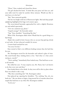"Flynn," Kate croaked and cleared her throat.

The girl checked the book. "It looks like your party isn't here yet, and your table won't be ready for another thirty minutes. Would you like to wait here or in the bar?"

"Bar," Kate answered quickly.

The bar was bright with lots of fluorescent lights. Red and deep purple uplighting highlighted the huge oval counter space.

The raven-haired bartender approached her with a slightly flirtatious eye and smiled expectantly.

"Give me a Jameson up, please."

"Liquid courage?" the bartender asked.

"Yup." Kate chuckled. "Something like that."

What if Ms. Kensington didn't show? Would that be a good thing or a bad thing?

*Maybe that would be better because then we can just keep glaring silently at each other. At least rehearsals wouldn't be torture.*

A warm hand touched her arm.

"I'm sorry I'm late."

Kate turned to find a very different-looking woman than she had thus far seen.

Ms. Kensington waved for the bartender and ordered a glass of wine. She stood beside Kate, looking down at her. "And what is it that you're staring at, exactly?"

"You're smiling." Immediately Kate looked away. That had been so notat-all smooth.

She rolled her eyes. "It may surprise you, Ms. Flynn, but I *am* known to do that every now and then."

Kate looked down at her drink. So they were still in this icy place where Kate was afraid to take a step.

"Was there something else?" Ms. Kensington asked.

Kate glanced up, squaring her shoulders. "No, nothing. You, uh, you look nice." She was about to begin a long mental list of remarks about how stupid that had been to say when Ms. Kensington nodded.

"As do you."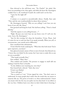#### The Loudest Silence

Kate shivered at the still-frosty tone. "No Charlie?" she asked. Her heart was pounding in her chest again, and while she knew Ms. Kensington couldn't hear it, she wondered if maybe she could read it on her face.

"I gave her the night off."

" $Oh$ "

A minute or so passed in uncomfortable silence. Finally, Kate said, "They said the wait would probably be about thirty minutes."

Ms. Kensington frowned. "Why are you yelling? I can't hear you any better if you yell, Ms. Flynn."

Kate groaned and hung her head. She *had* been yelling. "There's a band playing."

"And this equates to you yelling because…?"

"Right. Because you won't hear me any better even if I yell over the noise. Sorry, Ms. Kensington."

"Just for this evening, let's drop the formalities. Vivian. Please. And it's easier for me to read your lips if you speak normally. When you yell, or overenunciate, your mouth moves differently."

Kate considered that information.

Vivian tilted her head, studying her. "What does that look mean? You're quite expressive, you know."

Kate glanced around, unsure of how to move forward, then blurted out, "I know that you think I'm the enemy, but I just want to make this as easy on you as possible."

"Then speak *normally*, Kate."

Kate nodded. "Okay, then."

They studied each another. The pressure to engage in small talk was making it hard for Kate to breathe.

"So the children were watching me, were they?"

Kate leaned back, relieved. "Yeah, they were."

Vivian's eyes flashed.

"You're still upset."

"Not as much as I was." Vivian sipped her wine. "You don't seem to understand. So many people don't realize that the words they say matter to someone like me. The power of words is so often underestimated. I know you meant well, but the way you spoke was less than kind. It was ableist at the very best. Children learn even when we don't think they're listening. I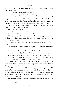realize I can be a bit abrasive at times, but what if a child had heard how you spoke to me?"

"I—" She hadn't thought about it that way.

"That being said, you were right. I was being rude."

"And I was being totally insensitive. I'm sorry." Kate swirled her drink to give herself a moment to think before she continued. "What I had meant to say that night was that for those of us who aren't used to seeing sign language, it's impossible not to watch. It's so beautiful." She flushed.

Vivian finally sat on the barstool beside Kate. "So now that we've covered that, may I ask you a question?"

"Okay," she said slowly.

"Why did you invite me here?"

Kate frowned. "Stephen said it was good."

"No, not here to this restaurant. You could have apologized and left it at that. Why did you invite me to dinner? Was it fear for your job? Did you think I would fire you?"

"No. I mean, maybe. But that's not why I invited you. Is it bad that I did?"

"I didn't say that. I was just, let's say, surprised." Vivian's gaze intensified. "So you know Mr. Foy?"

Kate nodded and wrinkled her nose. "Yeah, I do."

"Oh." Vivian smiled politely. "I didn't realize you two were involved."

Kate nearly choked on her drink. "What? No! I didn't mean—no."

"I apologize," Vivian said quickly. "The face you made led me to think… I didn't mean to intrude on your personal life."

Kate snorted. "Don't worry. I don't have much of a personal life to intrude on. We did have a thing once at Tanglewood, but that was about it. He's just…a friend, I guess."

It had been a summer of drinking, hanging out, taking lessons with some of the best musicians in the world, and playing some of the best music she had ever played. Their friendship had developed quickly into something else, then had been cut off abruptly. Maybe they were friends now. It was…complicated.

"Oh, you attended Tanglewood? I must have missed that. How did you like it?"

"It was good."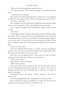#### The Loudest Silence

"Were you there during Andrew Goltich's tenure?"

"No," Kate answered. "This was four years ago, so I studied with Linda Peet."

"I understand she's amazing."

Kate smiled, remembering the experience. "Yeah, she is. I was supposed to follow her to Georgia to work with her a bit longer, but, you know, life."

"I'm sorry to hear that."

Kate shrugged. The loss still smarted, though she had long ago stuffed that loss into a mental box. "But, yeah, Tanglewood was amazing."

"I see. I knew the hairpiece had attended, but I didn't realize you had as well."

"The what?"

Vivian laughed again, and Kate realized that she kind of liked its deep, rich timbre. "Mm. A toupee. Mr. Foy is a walking hairpiece, Kate. That's all he has going for him. His looks are satisfactory, his bass playing is adequate at best, from what I've been told, but his hair always looks like it's fresh from a shampoo commercial." Vivian grinned wickedly over the rim of her glass.

"You're not a fan, huh?"

"If we are speaking off the record, so to speak, I promise the feeling is mutual. A few years ago, he and Charlie dated, and it ended badly. And I have had very little patience for the man since."

Kate had a lot of questions, but it only took one look at Vivian's expression to know that she would say no more about it.

"Flynn, party of two?"

Kate turned to look at the hostess.

"What?" Vivian asked.

Kate turned back and was surprised that, for the first time, the face of Vivian Kensington held neither animosity nor malice. In fact, she was smiling, and her smile was so beautiful that it took Kate a moment to gather her thoughts.

She glanced back at the hostess. "They're calling us. Our table is ready—eep!"

Vivian had gripped Kate's chin and pulled her face back around.

Kate stammered, trying to remember the words she had said only seconds ago, but her brain had short circuited. "I, uh…"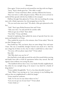Once again, Vivian traced an oval around her own lips with two fingers. "Sorry." Kate's cheeks grew hot. "Our table is ready."

"Shall we?" Vivian took Kate's elbow, and they followed the hostess.

They were led to a table and given menus. When the server arrived, he rattled off the specials with his face hidden in his notepad.

Halfway through, Kate glanced at Vivian, who was watching the young man with a blank expression, her chin propped up on her fist.

"Do you need some more time?" He asked, a false grin plastered on his face.

"Yeah." Kate's gaze flicked between him and Vivian.

"Take your time," he said and left for another table.

"Did you get any of that?" Kate asked.

"Very little," Vivian said flatly.

Instead of explaining, Kate pulled the menu of specials from her own menu and handed it to Vivian.

They studied the menu for a few minutes, then Vivian asked, "How do you like Chicago so far?"

Kate looked up "Oh, you know, there are some things I love and some I hate. The city is wonderful, though I haven't seen much of it. And I'm not a huge fan of where we live, but it's what I could find in a short time."

"I'm sorry, will you please repeat that?" Vivian asked.

Kate did.

"Oh? Why don't you care for it?"

Kate had had to work right up until the end of the month before moving and hadn't been able to look for apartments before they moved. She had signed a lease without even seeing the place.

"The landlord told me that it was a very family-friendly neighborhood, but either he was outright lying or he meant it was ideal for a family of drug dealers."

Vivian nodded thoughtfully. "So it's a less-than-desirable location."

"Yeah. When I was moving us in, I met someone in my building who told me that our neighborhood is called the Jungle."

Vivian raised her eyebrows.

"Yeah. So I'm not too sure about where we live."

"Can you not get out of your lease?" Vivian asked.

"I don't think so."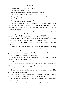#### The Loudest Silence

Vivian sighed. "One more time, please." Kate frowned. "What's wrong?" "You speak very quickly, and the glare of the candle is—" Kate blew it out before Vivian finished her sentence. "All right. I ask again, can you not get out of your lease?" "I don't think so." "Are you concerned for your safety?"

Kate opened her mouth and then closed it. How the hell did she answer that? It wasn't her safety she was worried about. She had lived in some sketchy places growing up, but she didn't want that for Max. "Let's talk about something else."

Vivian was studying Kate in a way that made her squirm. Kate thought there was a good chance that the subject of where she lived would come up again. "All right. And how do you like playing with WCCE?"

"It's great! Really great!" Now she was being too exuberant. "The people are awesome. Everyone plays well together. I can't complain."

"It seems that there is something else as well. Your eyes lit up when I asked you."

Vivian held her gaze in that way that Kate was quickly becoming familiar with. Perhaps it was because Vivian needed to study her lips to communicate, but Kate had never met someone with such an unwavering gaze. It was as if Vivian could read all of Kate's secrets through her skin.

"I'm deaf, Kate. I read facial expressions."

Kate shifted. What could she say other than the truth? "It's true. I think I'm pretty happy to be with WCCE."

"Oh?"

"It's because of Max," she admitted with an ease that surprised her. "When I was freelancing, I took any gig that came up, so my hours were all over the place. I like having a steady schedule for him."

"It must have been hard for him to never know when you would be home." Vivian's eyes softened.

"I think it was. I mean, he's still with a babysitter more than I would like him to be, but it's less often than it was before we moved."

"Where did you move from? I know it's in your file, but I can't recall at this moment."

"Gainesville, Florida. Before that, Pittsburgh, Pennsylvania."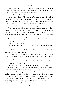"Mm." Vivian sipped her wine. "I was in Pittsburgh once. I got stuck on the expressway for two hours, only to get through a tunnel and realize that the tunnel itself was the reason for the delay."

"Yeah." Kate chuckled. "That sounds about right."

They fell into a thoughtful silence for a few minutes, Kate still thinking about Max. "You know, it's not just the schedule. It's also the fact that I have a contract for longer than eight months. I mean, I know it's only two years, but that's still better. Or maybe it's worse. I don't know."

"Why would it be worse to be settled for two years instead of one?"

Vivian leaned forward in her seat with genuine interest, so Kate answered without reservation. "I think it will probably be okay this time because he's still young. He won't make too many attachments. But the older he gets, the harder it will be to pull him away to a new place. He'll start making friends and wanting to build a life for himself in each new city. I moved a lot growing up, and I never wanted that life for him. Ironic, given my career."

"Why did you move so much?"

"My parents died when I was little. After that, I moved from foster home to foster home."

"Oh?" Vivian leaned in a little more. "I'm sorry to hear that. Why did you move so often, if I may ask?"

"It's how fostering works in this country. A couple has a baby of their own, and back you go. A couple gets a divorce, and suddenly you're unwanted baggage."

"Oh, Kate." Vivian's hand twitched on the table, and Kate thought she might reach out and touch her.

She cleared her throat, a little nervous at the prospect of intimacy. "It certainly teaches you to appreciate things while you have them. Anyway, I want Max's life to be different. I want him to have a permanent home, but that would mean finding a permanent job or changing careers." Kate picked up her glass and took a long drink. Why had she let herself say all of that?

"I'm curious. If you grew up in foster care, especially unstable foster care, how did you find your way to the cello? I find that classical music is something children are typically forced into until they are old enough to decide whether they like it for themselves."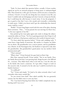#### The Loudest Silence

"Yeah, I've been asked that question before, actually. A foster mother signed me up for an outreach program to bring music to underprivileged kids. They loaned me a cello, gave me lessons, and let me join a community orchestra. I loved it. It was the one thing that was constant in my life, you know? I couldn't take my belongings each time I moved, or keep my friends, but I could keep the cello because it wasn't mine. It was the program's. I got so good so fast that I won a few awards and eventually a scholarship to study music. I didn't even know until I got the scholarship that classical music *could* be a career."

"Really?" Vivian's long fingers toyed with the stem of her glass, drawing Kate's attention. "That…" Vivian paused, her eyes moving over Kate's face, "is the exact opposite of my life."

Kate picked up her water glass again and, ready to change the subject, turned the tables on Vivian. "So if we're getting personal, then I hope it's all right if I ask how a Deaf person ended up in the world of classical music."

"I've been asked that question before," Vivian said, nodding coyly. "I come from a large family of musicians. My mother is a harpist; my father was an oboist. My grandmother was a concert pianist, and my grandfather was a flautist. In the Kensington line, the firstborn is expected to take after the grandmother. My grandmother's grand piano was my mother's birth announcement gift."

"That's unusual."

"What's that?" Vivian frowned, her gaze back on Kate's lips.

After Kate repeated herself, Vivian smiled. "Not in my family. Once my family discovered that I was growing deaf, things became a bit difficult for…everyone. They didn't know what to do with me. I was the only one in the family who wasn't a musician. As I got older, I began to work on the executive side. It seemed to be the only way I could be involved in my family's business."

"Is it difficult?"

"Yes," Vivian said simply. "It's hard to be taken seriously when I can't remember what music sounds like."

"So you weren't born deaf?" Kate asked carefully. She was genuinely curious, but she didn't want to cross any lines.

"No. I was hard of hearing from birth, but I didn't completely lose my hearing until I was seven."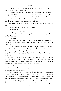The server interrupted at that moment. They placed their orders and fell easily back into conversation.

The dinner was nothing like Kate had expected it to be. Vivian's change from the ice queen was unexpected and welcome. She was pleased to find that Vivian was kind, even funny. She asked questions about Max, demanded stories, and made Kate laugh with her own stories of the ways people treated her once they learned she was Deaf.

"Would you like to take a walk?" Vivian asked as they stepped outside after their meal.

Kate began walking. "Sure, if you want to."

"What was that?"

Kate repeated herself but kept walking.

Vivian caught up to Kate and stepped in front of her, putting her hands on her shoulders.

"Oh, er, sorry."

Vivian smiled and dropped her hands. "Come with me." Taking Kate's elbow, she led her down the busy street and onto another that was bustling with activity.

The scene brought to mind Gershwin's *Rhapsody in Blue*. Pedestrians weaved in and out in a constant frenzy to get from point A to point B. Blue, red, and green lights glared down at them from each restaurant and shop. Music blared from loudspeakers. Their heels clicked along with the nightlife.

Kate glanced at Vivian as they walked. She wondered what it felt like for her. Could she feel the pulse of the city without hearing screaming patrons, car horns, and street performers? Did the energy feel different to her? She decided to save the question for another time.

"This is Michigan Avenue."

For the first time that evening, Vivian's free hand began to move, speaking in her own language.

"If you go that way"—she touched the small of Kate's back to turn her—"you hit what is called the Magnificent Mile. It's the best shopping and probably one of the biggest tourist locations of the city." Vivian took her elbow again, guiding her up a flight of wide stairs and into a huge plaza. "See that building there?" She pointed to a tall edifice shaped by two Vs with a large gash down the center that split the point at the top and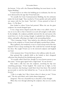the bottom. "A few call it the Diamond Building, but most know it as the Vagina Building."

It wasn't hard to see where the building got its nickname, but she was more distracted by the sign that Vivian had used.

"It's actually the Crain Communications Building, but the nickname makes the locals laugh." Kate watched as Vivian quickly and easily spelled out names with her free hand. "And this"—Vivian pointed in front of them—"is The Bean."

Kate looked to where Vivian had pointed. When she saw the giant sculpture, her mouth dropped open.

It was a huge mirror shaped exactly like what it was called: a bean. It was set on its side so that it bowed in an arch tall enough to walk under. In the daylight, the sculpture probably mirrored the sky and anyone who stood close to it. In the evening, though, it exploded into vibrant yellows, whites, and golds, reflecting every light in the surrounding skyline.

"This is amazing, Vivian." Kate smiled at the reflection of herself and Vivian in the sculpture as Vivian's hand still lightly touched Kate's elbow.

Was it gallantry, she wondered, or was it a need to keep track of her that inspired Vivian to keep touching her? She could feel her warmth through her dress. She caught Vivian's eye in the mirrored sculpture and laughed out loud.

A few moments later, Vivian led them to the walkway under the arch.

Kate grinned like a gleeful child as she looked at their elongated reflections that dissolved into kaleidoscopic patterns.

"It's actually called *Cloud Gate*, though I've never known anyone to use that name." Vivian again signed with a single hand. "It's my favorite."

Kate made a silly face into the sculpture, stretching her lips into something grotesque. Vivian laughed. The sound was so light, so free from constraint, that hearing it made Kate's heart beat faster. She reached up nervously to tuck her hair behind her ear. "I can see why this is your favorite."

"I like it at night, but I like it better when it's about to rain," Vivian said. "The sky turns black, and it looks almost dangerous."

*Dangerous.* That was a beautiful way to describe it, Kate thought.

When they were through admiring the sculpture, they sat on a nearby bench.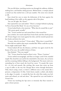The two fell silent, watching tourists run through the walkway, children making faces, and families taking pictures. Behind them, a trumpet played a muted scat that melted into a soft jazz number. The notes were smooth as silk.

Kate closed her eyes to enjoy the dichotomy of the horn against the loud honking of the traffic on the opposite side of the plaza.

"Are you all right, Ms. Flynn?"

Kate opened her eyes and smiled. "There's a trumpet behind us playing 'It Never Entered My Mind.' It's one of my favorites."

Vivian looked back at the musician. "What does he sound like to *you*?" "He's pretty good, actually."

"No." Vivian reached out and turned Kate's chin toward her.

Just as before, her touch made Kate's brain fizzle and then slowly power off. Vivian's fingers were warm against her skin, and the warmth spread into her cheeks and down her neck.

"I mean, what do you hear?" Vivian asked. "What does it sound like?"

How did one explain what music sounded like? What could she say that Vivian might understand? "Blue."

Vivian looked off into the distance, and Kate was again struck by the beauty of her eyes, the soulful richness of them.

Kate blushed. "That was stupid."

"No." Vivian closed her hand on Kate's wrist. "Please. Continue."

Vivian smiled encouragingly, and Kate no longer cared if she sounded stupid. She closed her eyes and let her mind drift to the music, the car horns and the screaming children falling to the background. The music took over, reminding her of how much she loved her career. "It sounds like water. It's…it's rich and smooth, like swirling, like steam that twists up from a cup of coffee or the way the Chicago River twists through downtown. Only, they're using a mute, so there's a different tone to the sound, like a pressure, a desperation. It's like, I don't know, maybe a cobalt, only darker at the edges. It sounds…it sounds like how the color blue makes you feel: warm and relaxed, yet sad and alone." She opened her eyes and looked at Vivian's face.

Vivian was watching her lips move so intensely that Kate wanted to paint a better picture.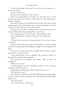"It feels like Chicago, you know? The way the city feels when you… when you're lonely."

"Are you lonely, Kate?"

She answered automatically. "Isn't everyone?"

There was understanding in Vivian's eyes, and Kate knew in that moment that Vivian was every bit as lonely as she was. The realization was somehow soothing.

She smiled at Vivian, who smiled back, the corners of her deep-red lips curling upward. Then breaking their gaze, Vivian looked down at her lap. "Thank you, Kate. That was…that was beautiful."

The silence between them was different now, comfortable and easy. Yet, static ran through her blood, making Kate a little jittery.

The trumpet sang out its last few notes. "Max would love this."

Vivian studied her for a moment, then said, "Let's bring him."

"What?"

"The day after tomorrow. Let's bring him here. We can have a picnic in the park."

Kate's heart picked up its pace again. If this had been a romantic outing instead of an apology date, she would have thought she was being asked out again.

"Are you sure? I mean, Max can be a handful. He's very good, awesome even, but he's, you know, three."

Vivian nodded firmly. "Max is adorable." She moved her hands in a sign that Kate imagined meant *adorable*.

Kate pressed her lips together, then asked, "Will you show me something?"

"What do you mean?"

"In sign language. I've been watching you speak it since we left the restaurant, and it's beautiful."

Vivian looked a little bashful. "What would you like to see?"

"How about my name?"

Vivian flexed her hand, her index and middle fingers standing straight in the air with her thumb in between. Then she bounced her middle finger under her eye.

"That means Kate?"

"In a way, Ms. Flynn. It means *you*."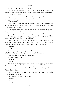Kate shifted on the bench. "Explain."

"Well, every Deaf person has what's called a sign name. It saves us from having to spell the person's name out each time, and it shows familiarity."

"How do you get one?"

"Typically, a Deaf person has to give it to you. They choose a characteristic of yours and base the name off of that."

"What's yours?"

"I have two. I have a professional one that I most commonly use." She spread her index and middle finger and softly bounced them off her jaw. "That one is very generic."

"What's your other one?" When Vivian looked away bashfully, Kate laughed and said, "You have to tell me!"

Vivian sighed, made an V with her fingers, and tapped it to her chin.

Kate stared at the sign that was a universally known gesture. "What does it mean? 'Cause it kind of looks like…"

Vivian squirmed. "I know!" she groaned. "It does indeed mean something wholly inappropriate that refers to my sexuality. I've tried to change it more than once, but I cannot break Charlie of the habit."

"So you're—?"

"A lesbian, yes."

Kate wasn't surprised. She got a subtle sense whenever she met women who liked other women. She gestured to herself. "Pansexual."

Vivian nodded as she studied Kate's face.

"Show me again," Kate said.

"Ms. Flynn!"

"Show me."

Vivian made the sign again, and Kate copied it, giggling, then asked Vivian to show her how to sign her name again.

Vivian scooted in closer and took her hand gently. Molding her fingers, Vivian shaped them.

"Wait, what does that mean?" She was positive Vivian had used a different sign than previously.

Vivian smiled. "It refers to your eyes."

"My eyes?"

"Yes."

"Why?"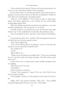Vivian stared at Kate intensely. "Because you have the purest green eyes I have ever seen. They always sparkle. They're beautiful."

By now, Kate's heart was tap-dancing. Maybe Vivian had said that to gauge her reaction, but she wasn't sure what she was looking for. Finally, she said, "Show me something else. Something simple."

"Shall we try the alphabet?" Vivian leaned in again to shape Kate's fingers. Her hands cupped hers as she worked, her arm and shoulder pressing lightly against Kate.

When they finally started back toward the train platform, it was later than Kate had planned. "Do you take the L?" she asked.

"Actually, I only live a few blocks from here, just off Grant Park, right off the Loop." Vivian nodded back toward where they had been sitting.

They stood together by the L stop. Kate tried to think of something to say.

Vivian broke the silence first. "Sunday?" She leaned against the post for the Red Line train, her arms casually crossed.

"Yeah. That would be fun."

"A few of the WCCE players are playing a concert in the park that afternoon. Do you think Max would like that?"

"He would love it!"

"Good."

"Okay. Well, I, uh—"

"Thank you for inviting me out tonight, Kate." Vivian was scrutinizing her as if to give her words some deeper meaning. "The effort meant a great deal to me."

Unsure of how else to respond, Kate merely nodded, though her skin was tingling.

"And thank you for the song."

"No problem."

Vivian continued to study her.

"O-okay," Kate stammered. "I guess I'll see you, then. Wait, do you have my phone number?"

Vivian laughed. "Katelyn, I'm the president of the board. Of course I do."

"Right. Duh." Kate groaned inwardly. "Okay, well…" Kate shuffled backward, beginning her descent to the train. "Good night."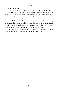"Good night, Ms. Flynn."

Kate gave Vivian a half smile and disappeared into the underground.

After she arrived home and paid Stacey, she collapsed onto the futon in a daze. She touched her stomach, aware that it was still fluttering an hour after she and Vivian had parted company. The entire evening had turned into something unexpected.

As a rule, Kate didn't date, not since Max was born. If Kate was going to do that, she wanted to feel something. She wanted an over-the-moon, knock-it-out-of-the-park, head-over-heels connection. That made it almost impossible to find someone worth leaving her son with a sitter.

She stared up at the patterns on her ceiling. This night—even though it hadn't been a date—had been absolutely out of the park.